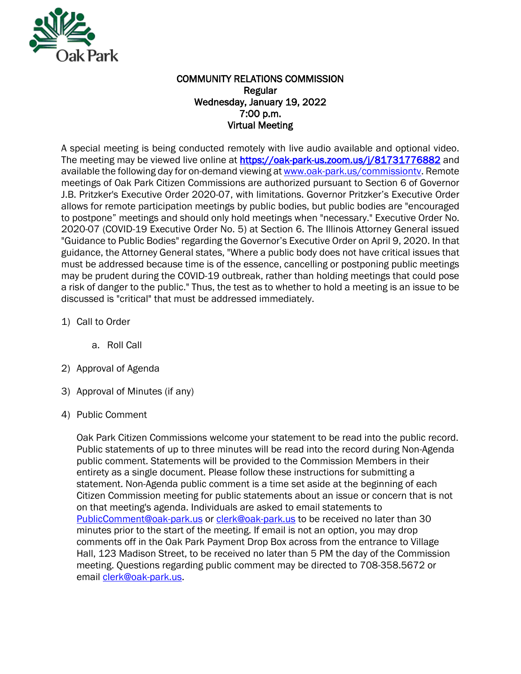

## COMMUNITY RELATIONS COMMISSION Regular Wednesday, January 19, 2022 7:00 p.m. Virtual Meeting

A special meeting is being conducted remotely with live audio available and optional video. The meeting may be viewed live online at<https://oak-park-us.zoom.us/j/81731776882>and available the following day for on-demand viewing a[t www.oak-park.us/commissiontv.](http://www.oak-park.us/commissiontv) Remote meetings of Oak Park Citizen Commissions are authorized pursuant to Section 6 of Governor J.B. Pritzker's Executive Order 2020-07, with limitations. Governor Pritzker's Executive Order allows for remote participation meetings by public bodies, but public bodies are "encouraged to postpone" meetings and should only hold meetings when "necessary." Executive Order No. 2020-07 (COVID-19 Executive Order No. 5) at Section 6. The Illinois Attorney General issued "Guidance to Public Bodies" regarding the Governor's Executive Order on April 9, 2020. In that guidance, the Attorney General states, "Where a public body does not have critical issues that must be addressed because time is of the essence, cancelling or postponing public meetings may be prudent during the COVID-19 outbreak, rather than holding meetings that could pose a risk of danger to the public." Thus, the test as to whether to hold a meeting is an issue to be discussed is "critical" that must be addressed immediately.

1) Call to Order

a. Roll Call

- 2) Approval of Agenda
- 3) Approval of Minutes (if any)
- 4) Public Comment

Oak Park Citizen Commissions welcome your statement to be read into the public record. Public statements of up to three minutes will be read into the record during Non-Agenda public comment. Statements will be provided to the Commission Members in their entirety as a single document. Please follow these instructions for submitting a statement. Non-Agenda public comment is a time set aside at the beginning of each Citizen Commission meeting for public statements about an issue or concern that is not on that meeting's agenda. Individuals are asked to email statements to [PublicComment@oak-park.us](mailto:PublicComment@oak-park.us) or [clerk@oak-park.us](about:blank) to be received no later than 30 minutes prior to the start of the meeting. If email is not an option, you may drop comments off in the Oak Park Payment Drop Box across from the entrance to Village Hall, 123 Madison Street, to be received no later than 5 PM the day of the Commission meeting. Questions regarding public comment may be directed to 708-358.5672 or email [clerk@oak-park.us.](mailto:clerk@oak-park.us)